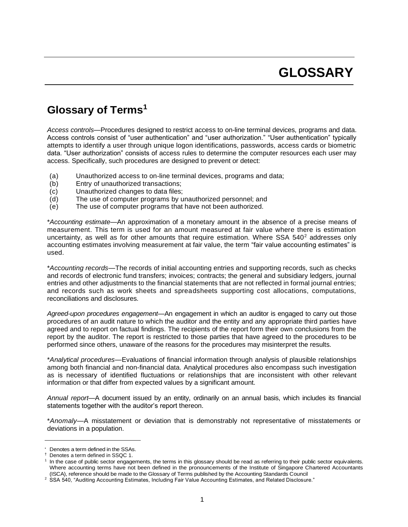# **GLOSSARY**

# **Glossary of Terms<sup>1</sup>**

*Access controls*—Procedures designed to restrict access to on-line terminal devices, programs and data. Access controls consist of "user authentication" and "user authorization." "User authentication" typically attempts to identify a user through unique logon identifications, passwords, access cards or biometric data. "User authorization" consists of access rules to determine the computer resources each user may access. Specifically, such procedures are designed to prevent or detect:

- (a) Unauthorized access to on-line terminal devices, programs and data;
- (b) Entry of unauthorized transactions;
- (c) Unauthorized changes to data files;
- (d) The use of computer programs by unauthorized personnel; and
- (e) The use of computer programs that have not been authorized.

\**Accounting estimate*—An approximation of a monetary amount in the absence of a precise means of measurement. This term is used for an amount measured at fair value where there is estimation uncertainty, as well as for other amounts that require estimation. Where SSA  $540<sup>2</sup>$  addresses only accounting estimates involving measurement at fair value, the term "fair value accounting estimates" is used.

\**Accounting records*—The records of initial accounting entries and supporting records, such as checks and records of electronic fund transfers; invoices; contracts; the general and subsidiary ledgers, journal entries and other adjustments to the financial statements that are not reflected in formal journal entries; and records such as work sheets and spreadsheets supporting cost allocations, computations, reconciliations and disclosures.

*Agreed-upon procedures engagement*—An engagement in which an auditor is engaged to carry out those procedures of an audit nature to which the auditor and the entity and any appropriate third parties have agreed and to report on factual findings. The recipients of the report form their own conclusions from the report by the auditor. The report is restricted to those parties that have agreed to the procedures to be performed since others, unaware of the reasons for the procedures may misinterpret the results.

\**Analytical procedures*—Evaluations of financial information through analysis of plausible relationships among both financial and non-financial data. Analytical procedures also encompass such investigation as is necessary of identified fluctuations or relationships that are inconsistent with other relevant information or that differ from expected values by a significant amount.

*Annual report*—A document issued by an entity, ordinarily on an annual basis, which includes its financial statements together with the auditor's report thereon.

\**Anomaly*—A misstatement or deviation that is demonstrably not representative of misstatements or deviations in a population.

Denotes a term defined in the SSAs.

<sup>†</sup> Denotes a term defined in SSQC 1.

<sup>1</sup> In the case of public sector engagements, the terms in this glossary should be read as referring to their public sector equivalents. Where accounting terms have not been defined in the pronouncements of the Institute of Singapore Chartered Accountants (ISCA), reference should be made to the Glossary of Terms published by the Accounting Standards Council

<sup>2</sup> SSA 540, "Auditing Accounting Estimates, Including Fair Value Accounting Estimates, and Related Disclosure."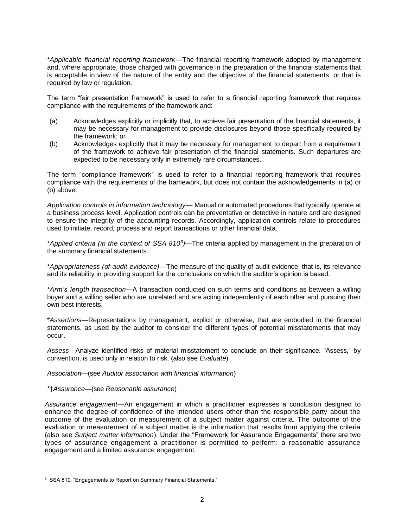\**Applicable financial reporting framework*—The financial reporting framework adopted by management and, where appropriate, those charged with governance in the preparation of the financial statements that is acceptable in view of the nature of the entity and the objective of the financial statements, or that is required by law or regulation.

The term "fair presentation framework" is used to refer to a financial reporting framework that requires compliance with the requirements of the framework and:

- (a) Acknowledges explicitly or implicitly that, to achieve fair presentation of the financial statements, it may be necessary for management to provide disclosures beyond those specifically required by the framework; or
- (b) Acknowledges explicitly that it may be necessary for management to depart from a requirement of the framework to achieve fair presentation of the financial statements. Such departures are expected to be necessary only in extremely rare circumstances.

The term "compliance framework" is used to refer to a financial reporting framework that requires compliance with the requirements of the framework, but does not contain the acknowledgements in (a) or (b) above.

*Application controls in information technology*— Manual or automated procedures that typically operate at a business process level. Application controls can be preventative or detective in nature and are designed to ensure the integrity of the accounting records. Accordingly, application controls relate to procedures used to initiate, record, process and report transactions or other financial data.

\*Applied criteria (in the context of SSA 810<sup>3</sup>)—The criteria applied by management in the preparation of the summary financial statements.

\**Appropriateness (of audit evidence)*—The measure of the quality of audit evidence; that is, its relevance and its reliability in providing support for the conclusions on which the auditor's opinion is based.

\**Arm's length transaction*—A transaction conducted on such terms and conditions as between a willing buyer and a willing seller who are unrelated and are acting independently of each other and pursuing their own best interests.

\**Assertions*—Representations by management, explicit or otherwise, that are embodied in the financial statements, as used by the auditor to consider the different types of potential misstatements that may occur.

*Assess*—Analyze identified risks of material misstatement to conclude on their significance. "Assess," by convention, is used only in relation to risk. (also see *Evaluate*)

*Association*—(see *Auditor association with financial information*)

\*†*Assurance*—(see *Reasonable assurance*)

*Assurance engagement*—An engagement in which a practitioner expresses a conclusion designed to enhance the degree of confidence of the intended users other than the responsible party about the outcome of the evaluation or measurement of a subject matter against criteria. The outcome of the evaluation or measurement of a subject matter is the information that results from applying the criteria (also see *Subject matter information*). Under the "Framework for Assurance Engagements" there are two types of assurance engagement a practitioner is permitted to perform: a reasonable assurance engagement and a limited assurance engagement.

<sup>&</sup>lt;sup>3</sup> SSA 810, "Engagements to Report on Summary Financial Statements."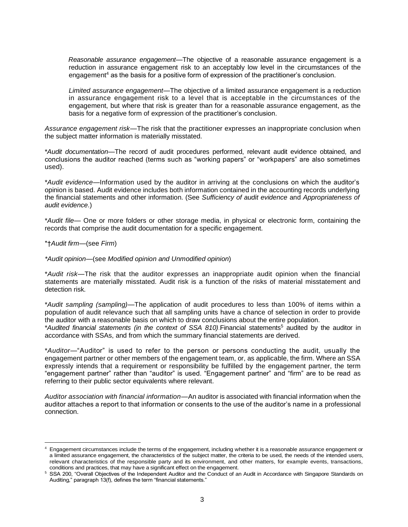*Reasonable assurance engagement*—The objective of a reasonable assurance engagement is a reduction in assurance engagement risk to an acceptably low level in the circumstances of the engagement<sup>4</sup> as the basis for a positive form of expression of the practitioner's conclusion.

*Limited assurance engagement*—The objective of a limited assurance engagement is a reduction in assurance engagement risk to a level that is acceptable in the circumstances of the engagement, but where that risk is greater than for a reasonable assurance engagement, as the basis for a negative form of expression of the practitioner's conclusion.

*Assurance engagement risk*—The risk that the practitioner expresses an inappropriate conclusion when the subject matter information is materially misstated.

\**Audit documentation*—The record of audit procedures performed, relevant audit evidence obtained, and conclusions the auditor reached (terms such as "working papers" or "workpapers" are also sometimes used).

\**Audit evidence*—Information used by the auditor in arriving at the conclusions on which the auditor's opinion is based. Audit evidence includes both information contained in the accounting records underlying the financial statements and other information. (See *Sufficiency of audit evidence* and *Appropriateness of audit evidence*.)

\**Audit file*— One or more folders or other storage media, in physical or electronic form, containing the records that comprise the audit documentation for a specific engagement.

#### \*†*Audit firm*—(see *Firm*)

*\*Audit opinion*—(see *Modified opinion and Unmodified opinion*)

\**Audit risk*—The risk that the auditor expresses an inappropriate audit opinion when the financial statements are materially misstated. Audit risk is a function of the risks of material misstatement and detection risk.

\**Audit sampling (sampling)*—The application of audit procedures to less than 100% of items within a population of audit relevance such that all sampling units have a chance of selection in order to provide the auditor with a reasonable basis on which to draw conclusions about the entire population.

\**Audited financial statements (in the context of SSA 810)—*Financial statements<sup>5</sup> audited by the auditor in accordance with SSAs, and from which the summary financial statements are derived.

\**Auditor*—"Auditor" is used to refer to the person or persons conducting the audit, usually the engagement partner or other members of the engagement team, or, as applicable, the firm. Where an SSA expressly intends that a requirement or responsibility be fulfilled by the engagement partner, the term "engagement partner" rather than "auditor" is used. "Engagement partner" and "firm" are to be read as referring to their public sector equivalents where relevant.

*Auditor association with financial information*—An auditor is associated with financial information when the auditor attaches a report to that information or consents to the use of the auditor's name in a professional connection.

<sup>4</sup> Engagement circumstances include the terms of the engagement, including whether it is a reasonable assurance engagement or a limited assurance engagement, the characteristics of the subject matter, the criteria to be used, the needs of the intended users, relevant characteristics of the responsible party and its environment, and other matters, for example events, transactions, conditions and practices, that may have a significant effect on the engagement.

<sup>5</sup> SSA 200, "Overall Objectives of the Independent Auditor and the Conduct of an Audit in Accordance with Singapore Standards on Auditing," paragraph 13(f), defines the term "financial statements."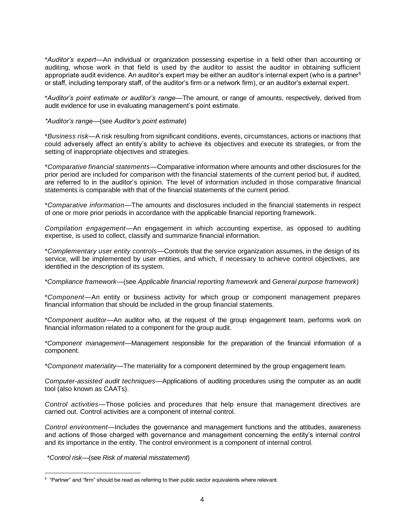\**Auditor's expert*—An individual or organization possessing expertise in a field other than accounting or auditing, whose work in that field is used by the auditor to assist the auditor in obtaining sufficient appropriate audit evidence. An auditor's expert may be either an auditor's internal expert (who is a partner $^6$ or staff, including temporary staff, of the auditor's firm or a network firm), or an auditor's external expert.

\**Auditor's point estimate or auditor's range*—The amount, or range of amounts, respectively, derived from audit evidence for use in evaluating management's point estimate.

#### *\*Auditor's range*—(see *Auditor's point estimate*)

\**Business risk*—A risk resulting from significant conditions, events, circumstances, actions or inactions that could adversely affect an entity's ability to achieve its objectives and execute its strategies, or from the setting of inappropriate objectives and strategies.

\**Comparative financial statements*—Comparative information where amounts and other disclosures for the prior period are included for comparison with the financial statements of the current period but, if audited, are referred to in the auditor's opinion. The level of information included in those comparative financial statements is comparable with that of the financial statements of the current period.

\**Comparative information*—The amounts and disclosures included in the financial statements in respect of one or more prior periods in accordance with the applicable financial reporting framework.

*Compilation engagement*—An engagement in which accounting expertise, as opposed to auditing expertise, is used to collect, classify and summarize financial information.

\**Complementary user entity controls*—Controls that the service organization assumes, in the design of its service, will be implemented by user entities, and which, if necessary to achieve control objectives, are identified in the description of its system.

#### \**Compliance framework*—(see *Applicable financial reporting framework* and *General purpose framework*)

\**Component*—An entity or business activity for which group or component management prepares financial information that should be included in the group financial statements.

\**Component auditor*—An auditor who, at the request of the group engagement team, performs work on financial information related to a component for the group audit.

\**Component management*—Management responsible for the preparation of the financial information of a component.

\**Component materiality*—The materiality for a component determined by the group engagement team.

*Computer-assisted audit techniques*—Applications of auditing procedures using the computer as an audit tool (also known as CAATs).

*Control activities*—Those policies and procedures that help ensure that management directives are carried out. Control activities are a component of internal control.

*Control environment*—Includes the governance and management functions and the attitudes, awareness and actions of those charged with governance and management concerning the entity's internal control and its importance in the entity. The control environment is a component of internal control.

\**Control risk*—(see *Risk of material misstatement*)

 $6$  "Partner" and "firm" should be read as referring to their public sector equivalents where relevant.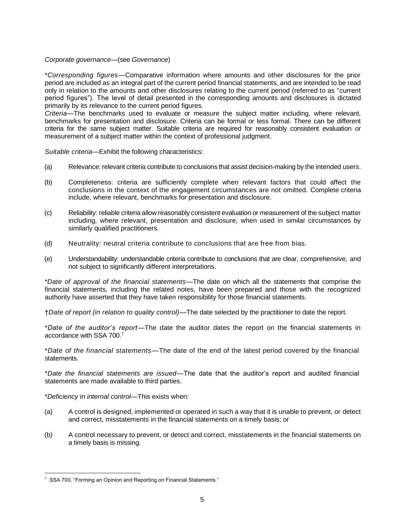# *Corporate governance*—(see *Governance*)

\**Corresponding figures*—Comparative information where amounts and other disclosures for the prior period are included as an integral part of the current period financial statements, and are intended to be read only in relation to the amounts and other disclosures relating to the current period (referred to as "current period figures"). The level of detail presented in the corresponding amounts and disclosures is dictated primarily by its relevance to the current period figures.

*Criteria*—The benchmarks used to evaluate or measure the subject matter including, where relevant, benchmarks for presentation and disclosure. Criteria can be formal or less formal. There can be different criteria for the same subject matter. Suitable criteria are required for reasonably consistent evaluation or measurement of a subject matter within the context of professional judgment.

*Suitable criteria*—Exhibit the following characteristics:

- (a) Relevance: relevant criteria contribute to conclusions that assist decision-making by the intended users.
- (b) Completeness: criteria are sufficiently complete when relevant factors that could affect the conclusions in the context of the engagement circumstances are not omitted. Complete criteria include, where relevant, benchmarks for presentation and disclosure.
- (c) Reliability: reliable criteria allow reasonably consistent evaluation or measurement of the subject matter including, where relevant, presentation and disclosure, when used in similar circumstances by similarly qualified practitioners.
- (d) Neutrality: neutral criteria contribute to conclusions that are free from bias.
- (e) Understandability: understandable criteria contribute to conclusions that are clear, comprehensive, and not subject to significantly different interpretations.

\**Date of approval of the financial statements*—The date on which all the statements that comprise the financial statements, including the related notes, have been prepared and those with the recognized authority have asserted that they have taken responsibility for those financial statements.

†*Date of report (in relation to quality control)*—The date selected by the practitioner to date the report.

\**Date of the auditor's report*—The date the auditor dates the report on the financial statements in accordance with SSA 700.<sup>7</sup>

\**Date of the financial statements*—The date of the end of the latest period covered by the financial statements.

\**Date the financial statements are issued*—The date that the auditor's report and audited financial statements are made available to third parties.

\**Deficiency in internal control*—This exists when:

- (a) A control is designed, implemented or operated in such a way that it is unable to prevent, or detect and correct, misstatements in the financial statements on a timely basis; or
- (b) A control necessary to prevent, or detect and correct, misstatements in the financial statements on a timely basis is missing.

<sup>7</sup> SSA 700, "Forming an Opinion and Reporting on Financial Statements."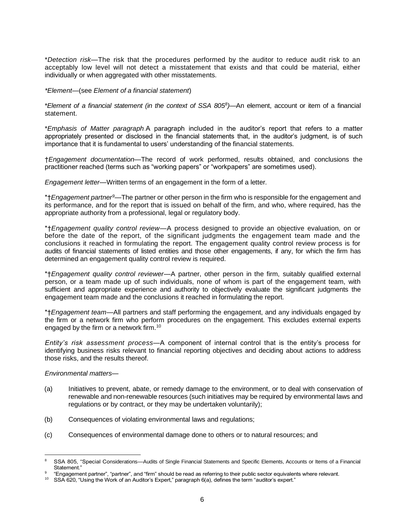\**Detection risk*—The risk that the procedures performed by the auditor to reduce audit risk to an acceptably low level will not detect a misstatement that exists and that could be material, either individually or when aggregated with other misstatements.

#### *\*Element*—(see *Element of a financial statement*)

\**Element of a financial statement (in the context of SSA 805<sup>8</sup> )*—An element, account or item of a financial statement.

\**Emphasis of Matter paragraph—*A paragraph included in the auditor's report that refers to a matter appropriately presented or disclosed in the financial statements that, in the auditor's judgment, is of such importance that it is fundamental to users' understanding of the financial statements.

†*Engagement documentation*—The record of work performed, results obtained, and conclusions the practitioner reached (terms such as "working papers" or "workpapers" are sometimes used).

*Engagement letter*—Written terms of an engagement in the form of a letter.

\*†*Engagement partner<sup>9</sup>*—The partner or other person in the firm who is responsible for the engagement and its performance, and for the report that is issued on behalf of the firm, and who, where required, has the appropriate authority from a professional, legal or regulatory body.

\*†*Engagement quality control review*—A process designed to provide an objective evaluation, on or before the date of the report, of the significant judgments the engagement team made and the conclusions it reached in formulating the report. The engagement quality control review process is for audits of financial statements of listed entities and those other engagements, if any, for which the firm has determined an engagement quality control review is required.

\*†*Engagement quality control reviewer*—A partner, other person in the firm, suitably qualified external person, or a team made up of such individuals, none of whom is part of the engagement team, with sufficient and appropriate experience and authority to objectively evaluate the significant judgments the engagement team made and the conclusions it reached in formulating the report.

\*†*Engagement team*—All partners and staff performing the engagement, and any individuals engaged by the firm or a network firm who perform procedures on the engagement. This excludes external experts engaged by the firm or a network firm.<sup>10</sup>

*Entity's risk assessment process*—A component of internal control that is the entity's process for identifying business risks relevant to financial reporting objectives and deciding about actions to address those risks, and the results thereof.

# *Environmental matters*—

- (a) Initiatives to prevent, abate, or remedy damage to the environment, or to deal with conservation of renewable and non-renewable resources (such initiatives may be required by environmental laws and regulations or by contract, or they may be undertaken voluntarily);
- (b) Consequences of violating environmental laws and regulations;
- (c) Consequences of environmental damage done to others or to natural resources; and

<sup>8</sup> SSA 805, "Special Considerations—Audits of Single Financial Statements and Specific Elements, Accounts or Items of a Financial Statement."

 $9$  "Engagement partner", "partner", and "firm" should be read as referring to their public sector equivalents where relevant.

<sup>10</sup> SSA 620, "Using the Work of an Auditor's Expert," paragraph 6(a), defines the term "auditor's expert."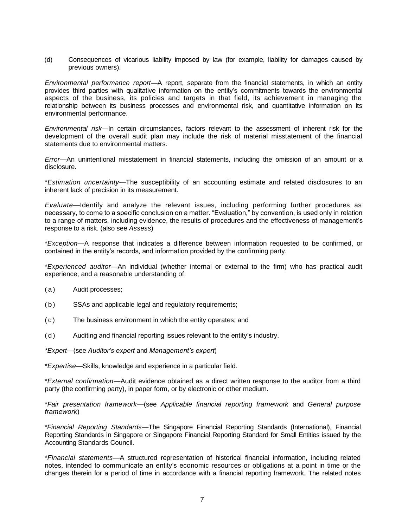(d) Consequences of vicarious liability imposed by law (for example, liability for damages caused by previous owners).

*Environmental performance report*—A report, separate from the financial statements, in which an entity provides third parties with qualitative information on the entity's commitments towards the environmental aspects of the business, its policies and targets in that field, its achievement in managing the relationship between its business processes and environmental risk, and quantitative information on its environmental performance.

*Environmental risk*—In certain circumstances, factors relevant to the assessment of inherent risk for the development of the overall audit plan may include the risk of material misstatement of the financial statements due to environmental matters.

*Error*—An unintentional misstatement in financial statements, including the omission of an amount or a disclosure.

\**Estimation uncertainty*—The susceptibility of an accounting estimate and related disclosures to an inherent lack of precision in its measurement.

*Evaluate*—Identify and analyze the relevant issues, including performing further procedures as necessary, to come to a specific conclusion on a matter. "Evaluation," by convention, is used only in relation to a range of matters, including evidence, the results of procedures and the effectiveness of management's response to a risk. (also see *Assess*)

\**Exception*—A response that indicates a difference between information requested to be confirmed, or contained in the entity's records, and information provided by the confirming party.

\**Experienced auditor*—An individual (whether internal or external to the firm) who has practical audit experience, and a reasonable understanding of:

- (a) Audit processes;
- (b) SSAs and applicable legal and regulatory requirements;
- (c) The business environment in which the entity operates; and
- ( d ) Auditing and financial reporting issues relevant to the entity's industry.

*\*Expert*—(see *Auditor's expert* and *Management's expert*)

\**Expertise*—Skills, knowledge and experience in a particular field.

\**External confirmation*—Audit evidence obtained as a direct written response to the auditor from a third party (the confirming party), in paper form, or by electronic or other medium.

\**Fair presentation framework*—(see *Applicable financial reporting framework* and *General purpose framework*)

\**Financial Reporting Standards*—The Singapore Financial Reporting Standards (International), Financial Reporting Standards in Singapore or Singapore Financial Reporting Standard for Small Entities issued by the Accounting Standards Council.

\**Financial statements*—A structured representation of historical financial information, including related notes, intended to communicate an entity's economic resources or obligations at a point in time or the changes therein for a period of time in accordance with a financial reporting framework. The related notes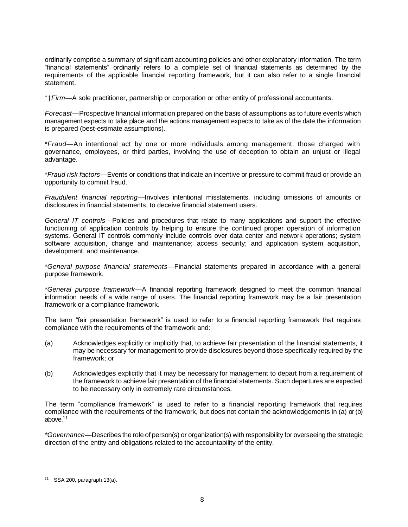ordinarily comprise a summary of significant accounting policies and other explanatory information. The term "financial statements" ordinarily refers to a complete set of financial statements as determined by the requirements of the applicable financial reporting framework, but it can also refer to a single financial statement.

\*†*Firm*—A sole practitioner, partnership or corporation or other entity of professional accountants.

*Forecast*—Prospective financial information prepared on the basis of assumptions as to future events which management expects to take place and the actions management expects to take as of the date the information is prepared (best-estimate assumptions).

\**Fraud*—An intentional act by one or more individuals among management, those charged with governance, employees, or third parties, involving the use of deception to obtain an unjust or illegal advantage.

\**Fraud risk factors*—Events or conditions that indicate an incentive or pressure to commit fraud or provide an opportunity to commit fraud.

*Fraudulent financial reporting*—Involves intentional misstatements, including omissions of amounts or disclosures in financial statements, to deceive financial statement users.

*General IT controls*—Policies and procedures that relate to many applications and support the effective functioning of application controls by helping to ensure the continued proper operation of information systems. General IT controls commonly include controls over data center and network operations; system software acquisition, change and maintenance; access security; and application system acquisition, development, and maintenance.

\**General purpose financial statements*—Financial statements prepared in accordance with a general purpose framework.

\**General purpose framework*—A financial reporting framework designed to meet the common financial information needs of a wide range of users. The financial reporting framework may be a fair presentation framework or a compliance framework.

The term "fair presentation framework" is used to refer to a financial reporting framework that requires compliance with the requirements of the framework and:

- (a) Acknowledges explicitly or implicitly that, to achieve fair presentation of the financial statements, it may be necessary for management to provide disclosures beyond those specifically required by the framework; or
- (b) Acknowledges explicitly that it may be necessary for management to depart from a requirement of the framework to achieve fair presentation of the financial statements. Such departures are expected to be necessary only in extremely rare circumstances.

The term "compliance framework" is used to refer to a financial reporting framework that requires compliance with the requirements of the framework, but does not contain the acknowledgements in (a) or (b) above $11$ 

*\*Governance*—Describes the role of person(s) or organization(s) with responsibility for overseeing the strategic direction of the entity and obligations related to the accountability of the entity.

<sup>11</sup> SSA 200, paragraph 13(a).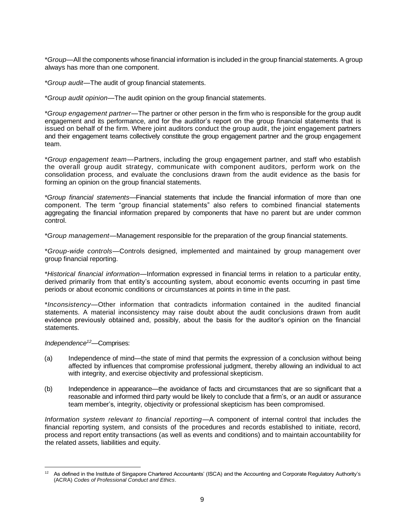\**Group*—All the components whose financial information is included in the group financial statements. A group always has more than one component.

\**Group audit*—The audit of group financial statements.

\**Group audit opinion*—The audit opinion on the group financial statements.

\**Group engagement partner*—The partner or other person in the firm who is responsible for the group audit engagement and its performance, and for the auditor's report on the group financial statements that is issued on behalf of the firm. Where joint auditors conduct the group audit, the joint engagement partners and their engagement teams collectively constitute the group engagement partner and the group engagement team.

\**Group engagement team*—Partners, including the group engagement partner, and staff who establish the overall group audit strategy, communicate with component auditors, perform work on the consolidation process, and evaluate the conclusions drawn from the audit evidence as the basis for forming an opinion on the group financial statements.

\**Group financial statements*—Financial statements that include the financial information of more than one component. The term "group financial statements" also refers to combined financial statements aggregating the financial information prepared by components that have no parent but are under common control.

\**Group management*—Management responsible for the preparation of the group financial statements.

\**Group-wide controls*—Controls designed, implemented and maintained by group management over group financial reporting.

\**Historical financial information*—Information expressed in financial terms in relation to a particular entity, derived primarily from that entity's accounting system, about economic events occurring in past time periods or about economic conditions or circumstances at points in time in the past.

\**Inconsistency*—Other information that contradicts information contained in the audited financial statements. A material inconsistency may raise doubt about the audit conclusions drawn from audit evidence previously obtained and, possibly, about the basis for the auditor's opinion on the financial statements.

*Independence<sup>12</sup>*—Comprises:

- (a) Independence of mind—the state of mind that permits the expression of a conclusion without being affected by influences that compromise professional judgment, thereby allowing an individual to act with integrity, and exercise objectivity and professional skepticism.
- (b) Independence in appearance—the avoidance of facts and circumstances that are so significant that a reasonable and informed third party would be likely to conclude that a firm's, or an audit or assurance team member's, integrity, objectivity or professional skepticism has been compromised.

*Information system relevant to financial reporting*—A component of internal control that includes the financial reporting system, and consists of the procedures and records established to initiate, record, process and report entity transactions (as well as events and conditions) and to maintain accountability for the related assets, liabilities and equity.

 $12$  As defined in the Institute of Singapore Chartered Accountants' (ISCA) and the Accounting and Corporate Regulatory Authority's (ACRA) *Codes of Professional Conduct and Ethics*.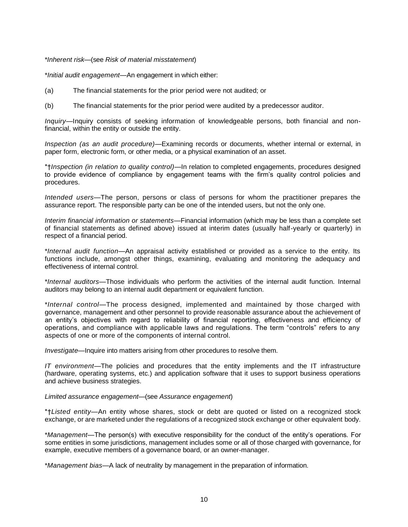\**Inherent risk*—(see *Risk of material misstatement*)

\**Initial audit engagement*—An engagement in which either:

- (a) The financial statements for the prior period were not audited; or
- (b) The financial statements for the prior period were audited by a predecessor auditor.

*Inquiry*—Inquiry consists of seeking information of knowledgeable persons, both financial and nonfinancial, within the entity or outside the entity.

*Inspection (as an audit procedure)*—Examining records or documents, whether internal or external, in paper form, electronic form, or other media, or a physical examination of an asset.

\*†*Inspection (in relation to quality control)*—In relation to completed engagements, procedures designed to provide evidence of compliance by engagement teams with the firm's quality control policies and procedures.

*Intended users*—The person, persons or class of persons for whom the practitioner prepares the assurance report. The responsible party can be one of the intended users, but not the only one.

*Interim financial information or statements*—Financial information (which may be less than a complete set of financial statements as defined above) issued at interim dates (usually half-yearly or quarterly) in respect of a financial period.

\**Internal audit function*—An appraisal activity established or provided as a service to the entity. Its functions include, amongst other things, examining, evaluating and monitoring the adequacy and effectiveness of internal control.

\**Internal auditors*—Those individuals who perform the activities of the internal audit function. Internal auditors may belong to an internal audit department or equivalent function.

\**Internal control*—The process designed, implemented and maintained by those charged with governance, management and other personnel to provide reasonable assurance about the achievement of an entity's objectives with regard to reliability of financial reporting, effectiveness and efficiency of operations, and compliance with applicable laws and regulations. The term "controls" refers to any aspects of one or more of the components of internal control.

*Investigate*—Inquire into matters arising from other procedures to resolve them.

*IT environment*—The policies and procedures that the entity implements and the IT infrastructure (hardware, operating systems, etc.) and application software that it uses to support business operations and achieve business strategies.

# *Limited assurance engagement*—(see *Assurance engagement*)

\*†*Listed entity*—An entity whose shares, stock or debt are quoted or listed on a recognized stock exchange, or are marketed under the regulations of a recognized stock exchange or other equivalent body.

\**Management*—The person(s) with executive responsibility for the conduct of the entity's operations. For some entities in some jurisdictions, management includes some or all of those charged with governance, for example, executive members of a governance board, or an owner-manager.

\**Management bias*—A lack of neutrality by management in the preparation of information.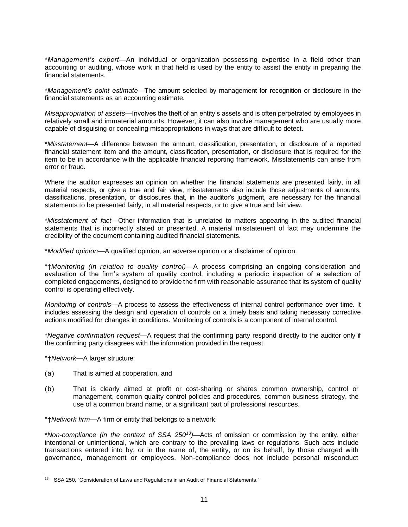\**Management's expert*—An individual or organization possessing expertise in a field other than accounting or auditing, whose work in that field is used by the entity to assist the entity in preparing the financial statements.

\**Management's point estimate*—The amount selected by management for recognition or disclosure in the financial statements as an accounting estimate.

*Misappropriation of assets*—Involves the theft of an entity's assets and is often perpetrated by employees in relatively small and immaterial amounts. However, it can also involve management who are usually more capable of disguising or concealing misappropriations in ways that are difficult to detect.

\**Misstatement*—A difference between the amount, classification, presentation, or disclosure of a reported financial statement item and the amount, classification, presentation, or disclosure that is required for the item to be in accordance with the applicable financial reporting framework. Misstatements can arise from error or fraud.

Where the auditor expresses an opinion on whether the financial statements are presented fairly, in all material respects, or give a true and fair view, misstatements also include those adjustments of amounts, classifications, presentation, or disclosures that, in the auditor's judgment, are necessary for the financial statements to be presented fairly, in all material respects, or to give a true and fair view.

\**Misstatement of fact*—Other information that is unrelated to matters appearing in the audited financial statements that is incorrectly stated or presented. A material misstatement of fact may undermine the credibility of the document containing audited financial statements.

\**Modified opinion*—A qualified opinion, an adverse opinion or a disclaimer of opinion.

\*†*Monitoring (in relation to quality control)*—A process comprising an ongoing consideration and evaluation of the firm's system of quality control, including a periodic inspection of a selection of completed engagements, designed to provide the firm with reasonable assurance that its system of quality control is operating effectively.

*Monitoring of controls*—A process to assess the effectiveness of internal control performance over time. It includes assessing the design and operation of controls on a timely basis and taking necessary corrective actions modified for changes in conditions. Monitoring of controls is a component of internal control.

\**Negative confirmation request*—A request that the confirming party respond directly to the auditor only if the confirming party disagrees with the information provided in the request.

\*†*Network*—A larger structure:

- (a) That is aimed at cooperation, and
- (b) That is clearly aimed at profit or cost-sharing or shares common ownership, control or management, common quality control policies and procedures, common business strategy, the use of a common brand name, or a significant part of professional resources.

\*†*Network firm*—A firm or entity that belongs to a network.

\**Non-compliance (in the context of SSA 250<sup>13</sup>)*—Acts of omission or commission by the entity, either intentional or unintentional, which are contrary to the prevailing laws or regulations. Such acts include transactions entered into by, or in the name of, the entity, or on its behalf, by those charged with governance, management or employees. Non-compliance does not include personal misconduct

<sup>&</sup>lt;sup>13</sup> SSA 250, "Consideration of Laws and Regulations in an Audit of Financial Statements."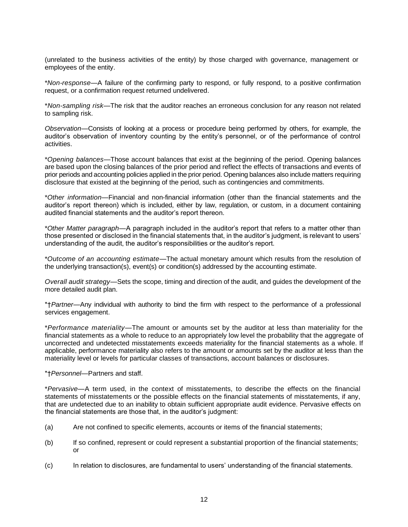(unrelated to the business activities of the entity) by those charged with governance, management or employees of the entity.

\**Non-response*—A failure of the confirming party to respond, or fully respond, to a positive confirmation request, or a confirmation request returned undelivered.

\**Non-sampling risk*—The risk that the auditor reaches an erroneous conclusion for any reason not related to sampling risk.

*Observation*—Consists of looking at a process or procedure being performed by others, for example, the auditor's observation of inventory counting by the entity's personnel, or of the performance of control activities.

\**Opening balances*—Those account balances that exist at the beginning of the period. Opening balances are based upon the closing balances of the prior period and reflect the effects of transactions and events of prior periods and accounting policies applied in the prior period. Opening balances also include matters requiring disclosure that existed at the beginning of the period, such as contingencies and commitments.

\**Other information*—Financial and non-financial information (other than the financial statements and the auditor's report thereon) which is included, either by law, regulation, or custom, in a document containing audited financial statements and the auditor's report thereon.

\**Other Matter paragraph*—A paragraph included in the auditor's report that refers to a matter other than those presented or disclosed in the financial statements that, in the auditor's judgment, is relevant to users' understanding of the audit, the auditor's responsibilities or the auditor's report.

\**Outcome of an accounting estimate*—The actual monetary amount which results from the resolution of the underlying transaction(s), event(s) or condition(s) addressed by the accounting estimate.

*Overall audit strategy*—Sets the scope, timing and direction of the audit, and guides the development of the more detailed audit plan.

\*†*Partner*—Any individual with authority to bind the firm with respect to the performance of a professional services engagement.

\**Performance materiality*—The amount or amounts set by the auditor at less than materiality for the financial statements as a whole to reduce to an appropriately low level the probability that the aggregate of uncorrected and undetected misstatements exceeds materiality for the financial statements as a whole. If applicable, performance materiality also refers to the amount or amounts set by the auditor at less than the materiality level or levels for particular classes of transactions, account balances or disclosures.

\*†*Personnel*—Partners and staff.

\**Pervasive*—A term used, in the context of misstatements, to describe the effects on the financial statements of misstatements or the possible effects on the financial statements of misstatements, if any, that are undetected due to an inability to obtain sufficient appropriate audit evidence. Pervasive effects on the financial statements are those that, in the auditor's judgment:

- (a) Are not confined to specific elements, accounts or items of the financial statements;
- (b) If so confined, represent or could represent a substantial proportion of the financial statements; or
- (c) In relation to disclosures, are fundamental to users' understanding of the financial statements.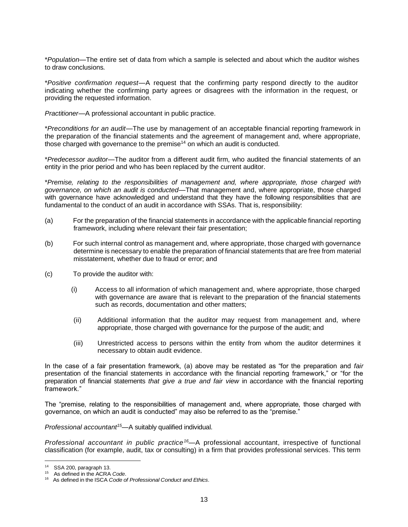\**Population—*The entire set of data from which a sample is selected and about which the auditor wishes to draw conclusions*.*

\**Positive confirmation request*—A request that the confirming party respond directly to the auditor indicating whether the confirming party agrees or disagrees with the information in the request, or providing the requested information.

*Practitioner*—A professional accountant in public practice.

\**Preconditions for an audit*—The use by management of an acceptable financial reporting framework in the preparation of the financial statements and the agreement of management and, where appropriate, those charged with governance to the premise<sup>14</sup> on which an audit is conducted.

\**Predecessor auditor*—The auditor from a different audit firm, who audited the financial statements of an entity in the prior period and who has been replaced by the current auditor.

\**Premise, relating to the responsibilities of management and, where appropriate, those charged with governance, on which an audit is conducted*—That management and, where appropriate, those charged with governance have acknowledged and understand that they have the following responsibilities that are fundamental to the conduct of an audit in accordance with SSAs. That is, responsibility:

- (a) For the preparation of the financial statements in accordance with the applicable financial reporting framework, including where relevant their fair presentation;
- (b) For such internal control as management and, where appropriate, those charged with governance determine is necessary to enable the preparation of financial statements that are free from material misstatement, whether due to fraud or error; and
- (c) To provide the auditor with:
	- (i) Access to all information of which management and, where appropriate, those charged with governance are aware that is relevant to the preparation of the financial statements such as records, documentation and other matters;
	- (ii) Additional information that the auditor may request from management and, where appropriate, those charged with governance for the purpose of the audit; and
	- (iii) Unrestricted access to persons within the entity from whom the auditor determines it necessary to obtain audit evidence.

In the case of a fair presentation framework, (a) above may be restated as "for the preparation and *fair*  presentation of the financial statements in accordance with the financial reporting framework," or "for the preparation of financial statements *that give a true and fair view* in accordance with the financial reporting framework."

The "premise, relating to the responsibilities of management and, where appropriate, those charged with governance, on which an audit is conducted" may also be referred to as the "premise."

*Professional accountant<sup>15</sup>*—A suitably qualified individual.

*Professional accountant in public practice<sup>16</sup>*—A professional accountant, irrespective of functional classification (for example, audit, tax or consulting) in a firm that provides professional services. This term

<sup>14</sup> SSA 200, paragraph 13.

<sup>15</sup> As defined in the ACRA *Code*.

<sup>16</sup> As defined in the ISCA *Code of Professional Conduct and Ethics*.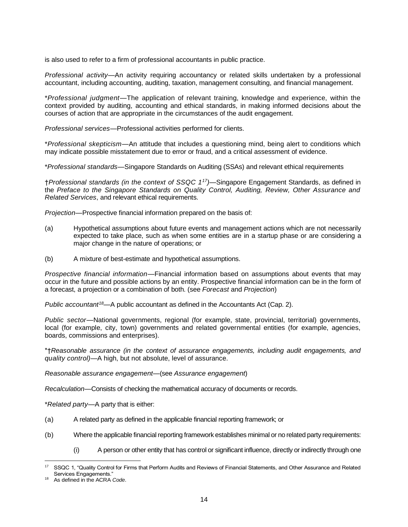is also used to refer to a firm of professional accountants in public practice.

*Professional activity*—An activity requiring accountancy or related skills undertaken by a professional accountant, including accounting, auditing, taxation, management consulting, and financial management.

\**Professional judgment*—The application of relevant training, knowledge and experience, within the context provided by auditing, accounting and ethical standards, in making informed decisions about the courses of action that are appropriate in the circumstances of the audit engagement.

*Professional services*—Professional activities performed for clients.

\**Professional skepticism*—An attitude that includes a questioning mind, being alert to conditions which may indicate possible misstatement due to error or fraud, and a critical assessment of evidence.

\**Professional standards*—Singapore Standards on Auditing (SSAs) and relevant ethical requirements

†*Professional standards (in the context of SSQC 1<sup>17</sup>)*—Singapore Engagement Standards, as defined in the *Preface to the Singapore Standards on Quality Control, Auditing, Review, Other Assurance and Related Services*, and relevant ethical requirements.

*Projection*—Prospective financial information prepared on the basis of:

- (a) Hypothetical assumptions about future events and management actions which are not necessarily expected to take place, such as when some entities are in a startup phase or are considering a major change in the nature of operations; or
- (b) A mixture of best-estimate and hypothetical assumptions.

*Prospective financial information*—Financial information based on assumptions about events that may occur in the future and possible actions by an entity. Prospective financial information can be in the form of a forecast, a projection or a combination of both. (see *Forecast* and *Projection*)

*Public accountant<sup>18</sup>*—A public accountant as defined in the Accountants Act (Cap. 2).

*Public sector*—National governments, regional (for example, state, provincial, territorial) governments, local (for example, city, town) governments and related governmental entities (for example, agencies, boards, commissions and enterprises).

\*†*Reasonable assurance (in the context of assurance engagements, including audit engagements, and quality control)—*A high, but not absolute, level of assurance.

*Reasonable assurance engagement*—(see *Assurance engagement*)

*Recalculation*—Consists of checking the mathematical accuracy of documents or records.

\**Related party*—A party that is either:

- (a) A related party as defined in the applicable financial reporting framework; or
- (b) Where the applicable financial reporting framework establishes minimal or no related party requirements:
	- (i) A person or other entity that has control or significant influence, directly or indirectly through one

<sup>17</sup> SSQC 1, "Quality Control for Firms that Perform Audits and Reviews of Financial Statements, and Other Assurance and Related Services Engagements."

<sup>18</sup> As defined in the ACRA *Code*.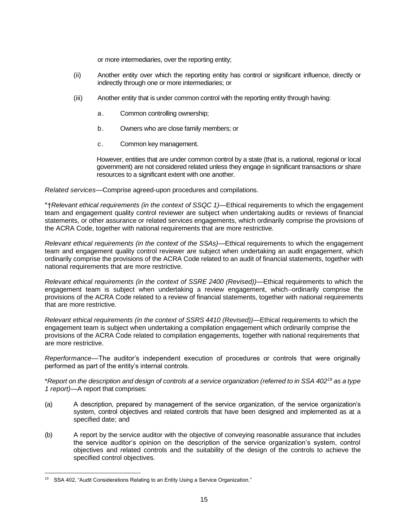or more intermediaries, over the reporting entity;

- (ii) Another entity over which the reporting entity has control or significant influence, directly or indirectly through one or more intermediaries; or
- (iii) Another entity that is under common control with the reporting entity through having:
	- a. Common controlling ownership;
	- b. Owners who are close family members; or
	- c. Common key management.

However, entities that are under common control by a state (that is, a national, regional or local government) are not considered related unless they engage in significant transactions or share resources to a significant extent with one another.

*Related services*—Comprise agreed-upon procedures and compilations.

\*†*Relevant ethical requirements (in the context of SSQC 1)*—Ethical requirements to which the engagement team and engagement quality control reviewer are subject when undertaking audits or reviews of financial statements, or other assurance or related services engagements, which ordinarily comprise the provisions of the ACRA Code, together with national requirements that are more restrictive.

*Relevant ethical requirements (in the context of the SSAs)*—Ethical requirements to which the engagement team and engagement quality control reviewer are subject when undertaking an audit engagement, which ordinarily comprise the provisions of the ACRA Code related to an audit of financial statements, together with national requirements that are more restrictive.

*Relevant ethical requirements (in the context of SSRE 2400 (Revised))*—Ethical requirements to which the engagement team is subject when undertaking a review engagement, which–ordinarily comprise the provisions of the ACRA Code related to a review of financial statements, together with national requirements that are more restrictive.

*Relevant ethical requirements (in the context of SSRS 4410 (Revised))—*Ethical requirements to which the engagement team is subject when undertaking a compilation engagement which ordinarily comprise the provisions of the ACRA Code related to compilation engagements, together with national requirements that are more restrictive.

*Reperformance*—The auditor's independent execution of procedures or controls that were originally performed as part of the entity's internal controls.

\**Report on the description and design of controls at a service organization (referred to in SSA 402<sup>19</sup> as a type 1 report)*—A report that comprises:

- (a) A description, prepared by management of the service organization, of the service organization's system, control objectives and related controls that have been designed and implemented as at a specified date; and
- (b) A report by the service auditor with the objective of conveying reasonable assurance that includes the service auditor's opinion on the description of the service organization's system, control objectives and related controls and the suitability of the design of the controls to achieve the specified control objectives.

<sup>&</sup>lt;sup>19</sup> SSA 402, "Audit Considerations Relating to an Entity Using a Service Organization."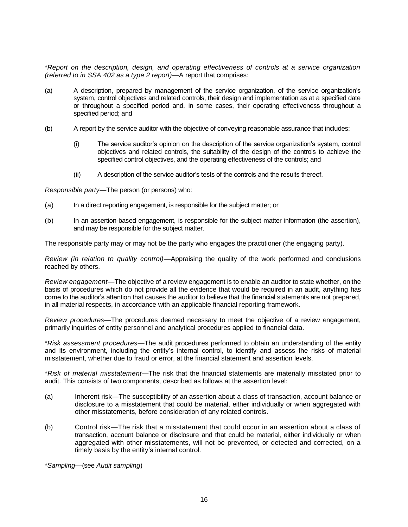\**Report on the description, design, and operating effectiveness of controls at a service organization (referred to in SSA 402 as a type 2 report)*—A report that comprises:

- (a) A description, prepared by management of the service organization, of the service organization's system, control objectives and related controls, their design and implementation as at a specified date or throughout a specified period and, in some cases, their operating effectiveness throughout a specified period; and
- (b) A report by the service auditor with the objective of conveying reasonable assurance that includes:
	- (i) The service auditor's opinion on the description of the service organization's system, control objectives and related controls, the suitability of the design of the controls to achieve the specified control objectives, and the operating effectiveness of the controls; and
	- (ii) A description of the service auditor's tests of the controls and the results thereof.

*Responsible party*—The person (or persons) who:

- (a) In a direct reporting engagement, is responsible for the subject matter; or
- (b) In an assertion-based engagement, is responsible for the subject matter information (the assertion), and may be responsible for the subject matter.

The responsible party may or may not be the party who engages the practitioner (the engaging party).

*Review (in relation to quality control)*—Appraising the quality of the work performed and conclusions reached by others.

*Review engagement*—The objective of a review engagement is to enable an auditor to state whether, on the basis of procedures which do not provide all the evidence that would be required in an audit, anything has come to the auditor's attention that causes the auditor to believe that the financial statements are not prepared, in all material respects, in accordance with an applicable financial reporting framework.

*Review procedures*—The procedures deemed necessary to meet the objective of a review engagement, primarily inquiries of entity personnel and analytical procedures applied to financial data.

\**Risk assessment procedures*—The audit procedures performed to obtain an understanding of the entity and its environment, including the entity's internal control, to identify and assess the risks of material misstatement, whether due to fraud or error, at the financial statement and assertion levels.

\**Risk of material misstatement*—The risk that the financial statements are materially misstated prior to audit. This consists of two components, described as follows at the assertion level:

- (a) Inherent risk—The susceptibility of an assertion about a class of transaction, account balance or disclosure to a misstatement that could be material, either individually or when aggregated with other misstatements, before consideration of any related controls.
- (b) Control risk—The risk that a misstatement that could occur in an assertion about a class of transaction, account balance or disclosure and that could be material, either individually or when aggregated with other misstatements, will not be prevented, or detected and corrected, on a timely basis by the entity's internal control.

\**Sampling—*(see *Audit sampling*)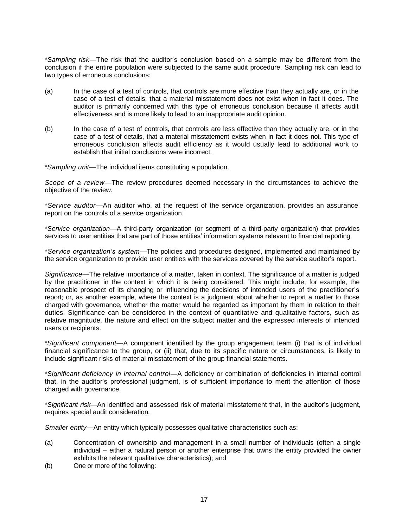\**Sampling risk*—The risk that the auditor's conclusion based on a sample may be different from the conclusion if the entire population were subjected to the same audit procedure. Sampling risk can lead to two types of erroneous conclusions:

- (a) In the case of a test of controls, that controls are more effective than they actually are, or in the case of a test of details, that a material misstatement does not exist when in fact it does. The auditor is primarily concerned with this type of erroneous conclusion because it affects audit effectiveness and is more likely to lead to an inappropriate audit opinion.
- (b) In the case of a test of controls, that controls are less effective than they actually are, or in the case of a test of details, that a material misstatement exists when in fact it does not. This type of erroneous conclusion affects audit efficiency as it would usually lead to additional work to establish that initial conclusions were incorrect.

\**Sampling unit*—The individual items constituting a population.

*Scope of a review*—The review procedures deemed necessary in the circumstances to achieve the objective of the review.

\**Service auditor*—An auditor who, at the request of the service organization, provides an assurance report on the controls of a service organization.

\**Service organization*—A third-party organization (or segment of a third-party organization) that provides services to user entities that are part of those entities' information systems relevant to financial reporting.

\**Service organization's system*—The policies and procedures designed, implemented and maintained by the service organization to provide user entities with the services covered by the service auditor's report.

*Significance*—The relative importance of a matter, taken in context. The significance of a matter is judged by the practitioner in the context in which it is being considered. This might include, for example, the reasonable prospect of its changing or influencing the decisions of intended users of the practitioner's report; or, as another example, where the context is a judgment about whether to report a matter to those charged with governance, whether the matter would be regarded as important by them in relation to their duties. Significance can be considered in the context of quantitative and qualitative factors, such as relative magnitude, the nature and effect on the subject matter and the expressed interests of intended users or recipients.

\**Significant component*—A component identified by the group engagement team (i) that is of individual financial significance to the group, or (ii) that, due to its specific nature or circumstances, is likely to include significant risks of material misstatement of the group financial statements.

\**Significant deficiency in internal control*—A deficiency or combination of deficiencies in internal control that, in the auditor's professional judgment, is of sufficient importance to merit the attention of those charged with governance.

\**Significant risk—*An identified and assessed risk of material misstatement that, in the auditor's judgment, requires special audit consideration.

*Smaller entity*—An entity which typically possesses qualitative characteristics such as:

- (a) Concentration of ownership and management in a small number of individuals (often a single individual – either a natural person or another enterprise that owns the entity provided the owner exhibits the relevant qualitative characteristics); and
- (b) One or more of the following: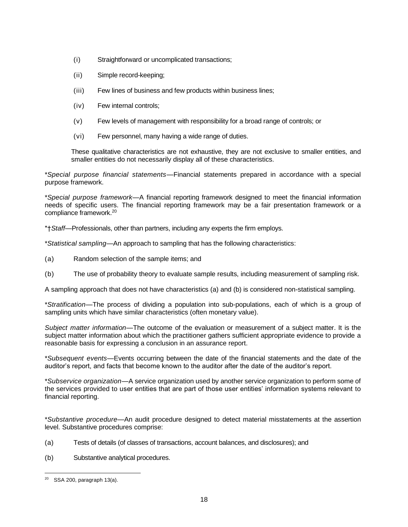- (i) Straightforward or uncomplicated transactions;
- (ii) Simple record-keeping;
- (iii) Few lines of business and few products within business lines;
- (iv) Few internal controls;
- (v) Few levels of management with responsibility for a broad range of controls; or
- (vi) Few personnel, many having a wide range of duties.

These qualitative characteristics are not exhaustive, they are not exclusive to smaller entities, and smaller entities do not necessarily display all of these characteristics.

\**Special purpose financial statements*—Financial statements prepared in accordance with a special purpose framework.

\**Special purpose framework*—A financial reporting framework designed to meet the financial information needs of specific users. The financial reporting framework may be a fair presentation framework or a compliance framework.<sup>20</sup>

\*†*Staff*—Professionals, other than partners, including any experts the firm employs.

\**Statistical sampling*—An approach to sampling that has the following characteristics:

- (a) Random selection of the sample items; and
- (b) The use of probability theory to evaluate sample results, including measurement of sampling risk.

A sampling approach that does not have characteristics (a) and (b) is considered non-statistical sampling.

\**Stratification*—The process of dividing a population into sub-populations, each of which is a group of sampling units which have similar characteristics (often monetary value).

*Subject matter information*—The outcome of the evaluation or measurement of a subject matter. It is the subject matter information about which the practitioner gathers sufficient appropriate evidence to provide a reasonable basis for expressing a conclusion in an assurance report.

\**Subsequent events*—Events occurring between the date of the financial statements and the date of the auditor's report, and facts that become known to the auditor after the date of the auditor's report.

\**Subservice organization*—A service organization used by another service organization to perform some of the services provided to user entities that are part of those user entities' information systems relevant to financial reporting.

\**Substantive procedure*—An audit procedure designed to detect material misstatements at the assertion level. Substantive procedures comprise:

- (a) Tests of details (of classes of transactions, account balances, and disclosures); and
- (b) Substantive analytical procedures.

 $20$  SSA 200, paragraph 13(a).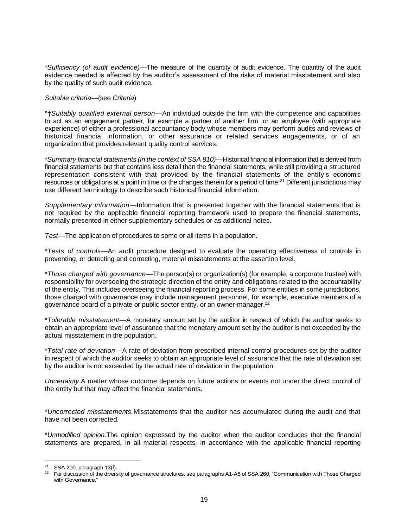\**Sufficiency (of audit evidence)*—The measure of the quantity of audit evidence. The quantity of the audit evidence needed is affected by the auditor's assessment of the risks of material misstatement and also by the quality of such audit evidence.

# *Suitable criteria*—(see *Criteria*)

\*†*Suitably qualified external person*—An individual outside the firm with the competence and capabilities to act as an engagement partner, for example a partner of another firm, or an employee (with appropriate experience) of either a professional accountancy body whose members may perform audits and reviews of historical financial information, or other assurance or related services engagements, or of an organization that provides relevant quality control services.

\**Summary financial statements (in the context of SSA 810)*—Historical financial information that is derived from financial statements but that contains less detail than the financial statements, while still providing a structured representation consistent with that provided by the financial statements of the entity's economic resources or obligations at a point in time or the changes therein for a period of time.<sup>21</sup> Different jurisdictions may use different terminology to describe such historical financial information.

*Supplementary information*—Information that is presented together with the financial statements that is not required by the applicable financial reporting framework used to prepare the financial statements, normally presented in either supplementary schedules or as additional notes.

*Test*—The application of procedures to some or all items in a population.

\**Tests of controls*—An audit procedure designed to evaluate the operating effectiveness of controls in preventing, or detecting and correcting, material misstatements at the assertion level.

\**Those charged with governance*—The person(s) or organization(s) (for example, a corporate trustee) with responsibility for overseeing the strategic direction of the entity and obligations related to the accountability of the entity. This includes overseeing the financial reporting process. For some entities in some jurisdictions, those charged with governance may include management personnel, for example, executive members of a governance board of a private or public sector entity, or an owner-manager. $^{22}$ 

\**Tolerable misstatement*—A monetary amount set by the auditor in respect of which the auditor seeks to obtain an appropriate level of assurance that the monetary amount set by the auditor is not exceeded by the actual misstatement in the population.

\**Total rate of deviation*—A rate of deviation from prescribed internal control procedures set by the auditor in respect of which the auditor seeks to obtain an appropriate level of assurance that the rate of deviation set by the auditor is not exceeded by the actual rate of deviation in the population.

*Uncertainty*—A matter whose outcome depends on future actions or events not under the direct control of the entity but that may affect the financial statements.

\**Uncorrected misstatements*—Misstatements that the auditor has accumulated during the audit and that have not been corrected.

\**Unmodified opinion*—The opinion expressed by the auditor when the auditor concludes that the financial statements are prepared, in all material respects, in accordance with the applicable financial reporting

 $21$  SSA 200, paragraph 13(f).

 $22$  For discussion of the diversity of governance structures, see paragraphs A1-A8 of SSA 260, "Communication with Those Charged with Governance."